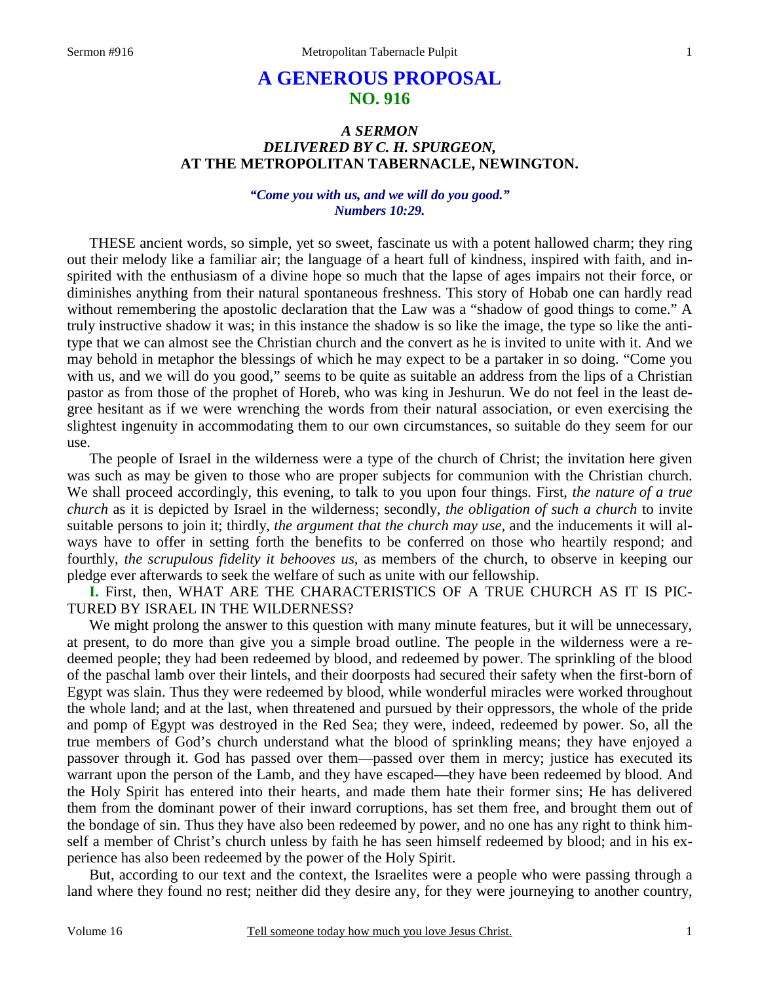# **A GENEROUS PROPOSAL NO. 916**

# *A SERMON DELIVERED BY C. H. SPURGEON,*  **AT THE METROPOLITAN TABERNACLE, NEWINGTON.**

# *"Come you with us, and we will do you good." Numbers 10:29.*

THESE ancient words, so simple, yet so sweet, fascinate us with a potent hallowed charm; they ring out their melody like a familiar air; the language of a heart full of kindness, inspired with faith, and inspirited with the enthusiasm of a divine hope so much that the lapse of ages impairs not their force, or diminishes anything from their natural spontaneous freshness. This story of Hobab one can hardly read without remembering the apostolic declaration that the Law was a "shadow of good things to come." A truly instructive shadow it was; in this instance the shadow is so like the image, the type so like the antitype that we can almost see the Christian church and the convert as he is invited to unite with it. And we may behold in metaphor the blessings of which he may expect to be a partaker in so doing. "Come you with us, and we will do you good," seems to be quite as suitable an address from the lips of a Christian pastor as from those of the prophet of Horeb, who was king in Jeshurun. We do not feel in the least degree hesitant as if we were wrenching the words from their natural association, or even exercising the slightest ingenuity in accommodating them to our own circumstances, so suitable do they seem for our use.

The people of Israel in the wilderness were a type of the church of Christ; the invitation here given was such as may be given to those who are proper subjects for communion with the Christian church. We shall proceed accordingly, this evening, to talk to you upon four things. First, *the nature of a true church* as it is depicted by Israel in the wilderness; secondly, *the obligation of such a church* to invite suitable persons to join it; thirdly, *the argument that the church may use,* and the inducements it will always have to offer in setting forth the benefits to be conferred on those who heartily respond; and fourthly, *the scrupulous fidelity it behooves us,* as members of the church, to observe in keeping our pledge ever afterwards to seek the welfare of such as unite with our fellowship.

**I.** First, then, WHAT ARE THE CHARACTERISTICS OF A TRUE CHURCH AS IT IS PIC-TURED BY ISRAEL IN THE WILDERNESS?

We might prolong the answer to this question with many minute features, but it will be unnecessary, at present, to do more than give you a simple broad outline. The people in the wilderness were a redeemed people; they had been redeemed by blood, and redeemed by power. The sprinkling of the blood of the paschal lamb over their lintels, and their doorposts had secured their safety when the first-born of Egypt was slain. Thus they were redeemed by blood, while wonderful miracles were worked throughout the whole land; and at the last, when threatened and pursued by their oppressors, the whole of the pride and pomp of Egypt was destroyed in the Red Sea; they were, indeed, redeemed by power. So, all the true members of God's church understand what the blood of sprinkling means; they have enjoyed a passover through it. God has passed over them—passed over them in mercy; justice has executed its warrant upon the person of the Lamb, and they have escaped—they have been redeemed by blood. And the Holy Spirit has entered into their hearts, and made them hate their former sins; He has delivered them from the dominant power of their inward corruptions, has set them free, and brought them out of the bondage of sin. Thus they have also been redeemed by power, and no one has any right to think himself a member of Christ's church unless by faith he has seen himself redeemed by blood; and in his experience has also been redeemed by the power of the Holy Spirit.

But, according to our text and the context, the Israelites were a people who were passing through a land where they found no rest; neither did they desire any, for they were journeying to another country,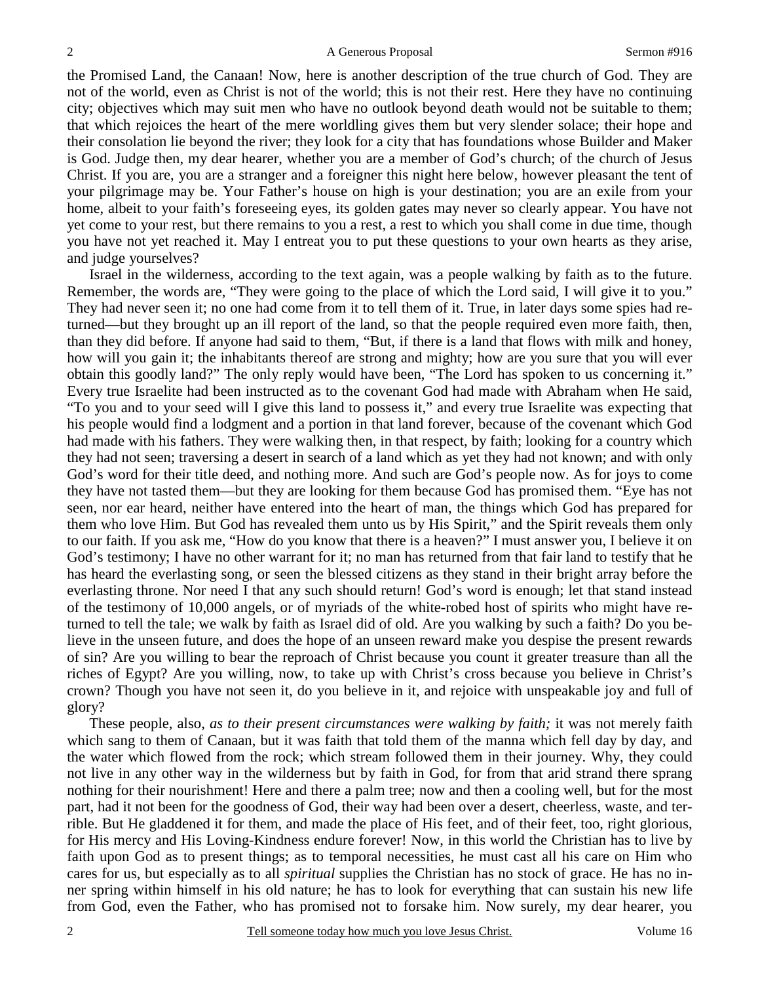the Promised Land, the Canaan! Now, here is another description of the true church of God. They are not of the world, even as Christ is not of the world; this is not their rest. Here they have no continuing city; objectives which may suit men who have no outlook beyond death would not be suitable to them; that which rejoices the heart of the mere worldling gives them but very slender solace; their hope and their consolation lie beyond the river; they look for a city that has foundations whose Builder and Maker is God. Judge then, my dear hearer, whether you are a member of God's church; of the church of Jesus Christ. If you are, you are a stranger and a foreigner this night here below, however pleasant the tent of your pilgrimage may be. Your Father's house on high is your destination; you are an exile from your home, albeit to your faith's foreseeing eyes, its golden gates may never so clearly appear. You have not yet come to your rest, but there remains to you a rest, a rest to which you shall come in due time, though you have not yet reached it. May I entreat you to put these questions to your own hearts as they arise, and judge yourselves?

Israel in the wilderness, according to the text again, was a people walking by faith as to the future. Remember, the words are, "They were going to the place of which the Lord said, I will give it to you." They had never seen it; no one had come from it to tell them of it. True, in later days some spies had returned—but they brought up an ill report of the land, so that the people required even more faith, then, than they did before. If anyone had said to them, "But, if there is a land that flows with milk and honey, how will you gain it; the inhabitants thereof are strong and mighty; how are you sure that you will ever obtain this goodly land?" The only reply would have been, "The Lord has spoken to us concerning it." Every true Israelite had been instructed as to the covenant God had made with Abraham when He said, "To you and to your seed will I give this land to possess it," and every true Israelite was expecting that his people would find a lodgment and a portion in that land forever, because of the covenant which God had made with his fathers. They were walking then, in that respect, by faith; looking for a country which they had not seen; traversing a desert in search of a land which as yet they had not known; and with only God's word for their title deed, and nothing more. And such are God's people now. As for joys to come they have not tasted them—but they are looking for them because God has promised them. "Eye has not seen, nor ear heard, neither have entered into the heart of man, the things which God has prepared for them who love Him. But God has revealed them unto us by His Spirit," and the Spirit reveals them only to our faith. If you ask me, "How do you know that there is a heaven?" I must answer you, I believe it on God's testimony; I have no other warrant for it; no man has returned from that fair land to testify that he has heard the everlasting song, or seen the blessed citizens as they stand in their bright array before the everlasting throne. Nor need I that any such should return! God's word is enough; let that stand instead of the testimony of 10,000 angels, or of myriads of the white-robed host of spirits who might have returned to tell the tale; we walk by faith as Israel did of old. Are you walking by such a faith? Do you believe in the unseen future, and does the hope of an unseen reward make you despise the present rewards of sin? Are you willing to bear the reproach of Christ because you count it greater treasure than all the riches of Egypt? Are you willing, now, to take up with Christ's cross because you believe in Christ's crown? Though you have not seen it, do you believe in it, and rejoice with unspeakable joy and full of glory?

These people, also, *as to their present circumstances were walking by faith;* it was not merely faith which sang to them of Canaan, but it was faith that told them of the manna which fell day by day, and the water which flowed from the rock; which stream followed them in their journey. Why, they could not live in any other way in the wilderness but by faith in God, for from that arid strand there sprang nothing for their nourishment! Here and there a palm tree; now and then a cooling well, but for the most part, had it not been for the goodness of God, their way had been over a desert, cheerless, waste, and terrible. But He gladdened it for them, and made the place of His feet, and of their feet, too, right glorious, for His mercy and His Loving-Kindness endure forever! Now, in this world the Christian has to live by faith upon God as to present things; as to temporal necessities, he must cast all his care on Him who cares for us, but especially as to all *spiritual* supplies the Christian has no stock of grace. He has no inner spring within himself in his old nature; he has to look for everything that can sustain his new life from God, even the Father, who has promised not to forsake him. Now surely, my dear hearer, you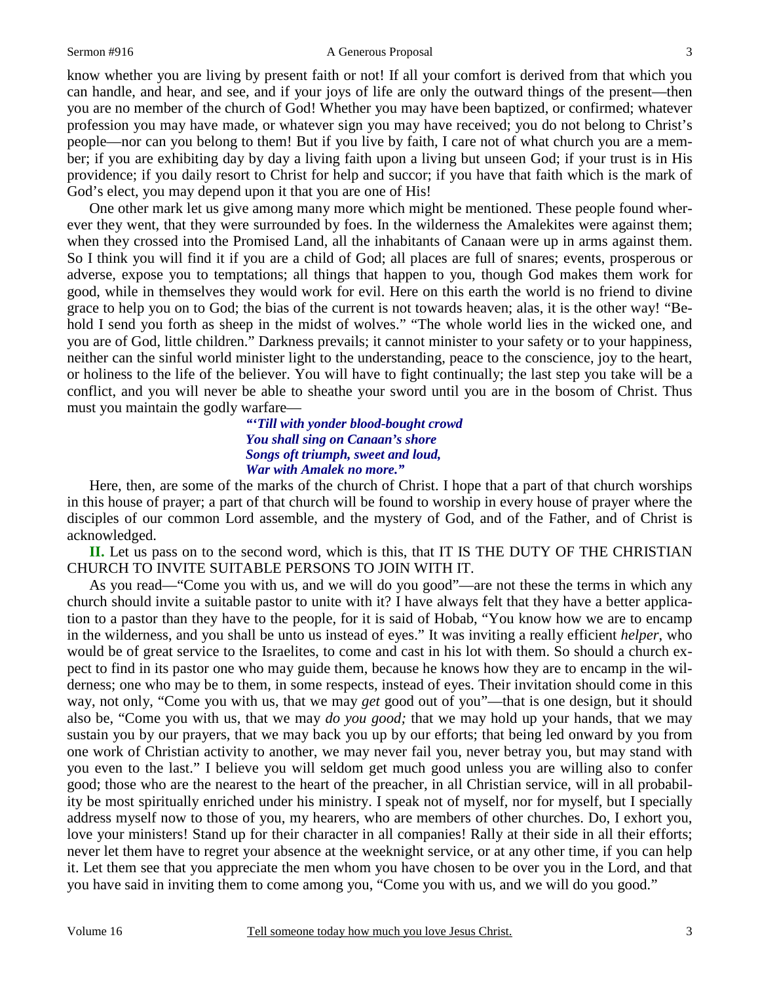#### Sermon #916 A Generous Proposal

know whether you are living by present faith or not! If all your comfort is derived from that which you can handle, and hear, and see, and if your joys of life are only the outward things of the present—then you are no member of the church of God! Whether you may have been baptized, or confirmed; whatever profession you may have made, or whatever sign you may have received; you do not belong to Christ's people—nor can you belong to them! But if you live by faith, I care not of what church you are a member; if you are exhibiting day by day a living faith upon a living but unseen God; if your trust is in His providence; if you daily resort to Christ for help and succor; if you have that faith which is the mark of God's elect, you may depend upon it that you are one of His!

One other mark let us give among many more which might be mentioned. These people found wherever they went, that they were surrounded by foes. In the wilderness the Amalekites were against them; when they crossed into the Promised Land, all the inhabitants of Canaan were up in arms against them. So I think you will find it if you are a child of God; all places are full of snares; events, prosperous or adverse, expose you to temptations; all things that happen to you, though God makes them work for good, while in themselves they would work for evil. Here on this earth the world is no friend to divine grace to help you on to God; the bias of the current is not towards heaven; alas, it is the other way! "Behold I send you forth as sheep in the midst of wolves." "The whole world lies in the wicked one, and you are of God, little children." Darkness prevails; it cannot minister to your safety or to your happiness, neither can the sinful world minister light to the understanding, peace to the conscience, joy to the heart, or holiness to the life of the believer. You will have to fight continually; the last step you take will be a conflict, and you will never be able to sheathe your sword until you are in the bosom of Christ. Thus must you maintain the godly warfare—

# *"'Till with yonder blood-bought crowd You shall sing on Canaan's shore Songs oft triumph, sweet and loud, War with Amalek no more."*

Here, then, are some of the marks of the church of Christ. I hope that a part of that church worships in this house of prayer; a part of that church will be found to worship in every house of prayer where the disciples of our common Lord assemble, and the mystery of God, and of the Father, and of Christ is acknowledged.

**II.** Let us pass on to the second word, which is this, that IT IS THE DUTY OF THE CHRISTIAN CHURCH TO INVITE SUITABLE PERSONS TO JOIN WITH IT.

As you read—"Come you with us, and we will do you good"—are not these the terms in which any church should invite a suitable pastor to unite with it? I have always felt that they have a better application to a pastor than they have to the people, for it is said of Hobab, "You know how we are to encamp in the wilderness, and you shall be unto us instead of eyes." It was inviting a really efficient *helper*, who would be of great service to the Israelites, to come and cast in his lot with them. So should a church expect to find in its pastor one who may guide them, because he knows how they are to encamp in the wilderness; one who may be to them, in some respects, instead of eyes. Their invitation should come in this way, not only, "Come you with us, that we may *get* good out of you"—that is one design, but it should also be, "Come you with us, that we may *do you good;* that we may hold up your hands, that we may sustain you by our prayers, that we may back you up by our efforts; that being led onward by you from one work of Christian activity to another, we may never fail you, never betray you, but may stand with you even to the last." I believe you will seldom get much good unless you are willing also to confer good; those who are the nearest to the heart of the preacher, in all Christian service, will in all probability be most spiritually enriched under his ministry. I speak not of myself, nor for myself, but I specially address myself now to those of you, my hearers, who are members of other churches. Do, I exhort you, love your ministers! Stand up for their character in all companies! Rally at their side in all their efforts; never let them have to regret your absence at the weeknight service, or at any other time, if you can help it. Let them see that you appreciate the men whom you have chosen to be over you in the Lord, and that you have said in inviting them to come among you, "Come you with us, and we will do you good."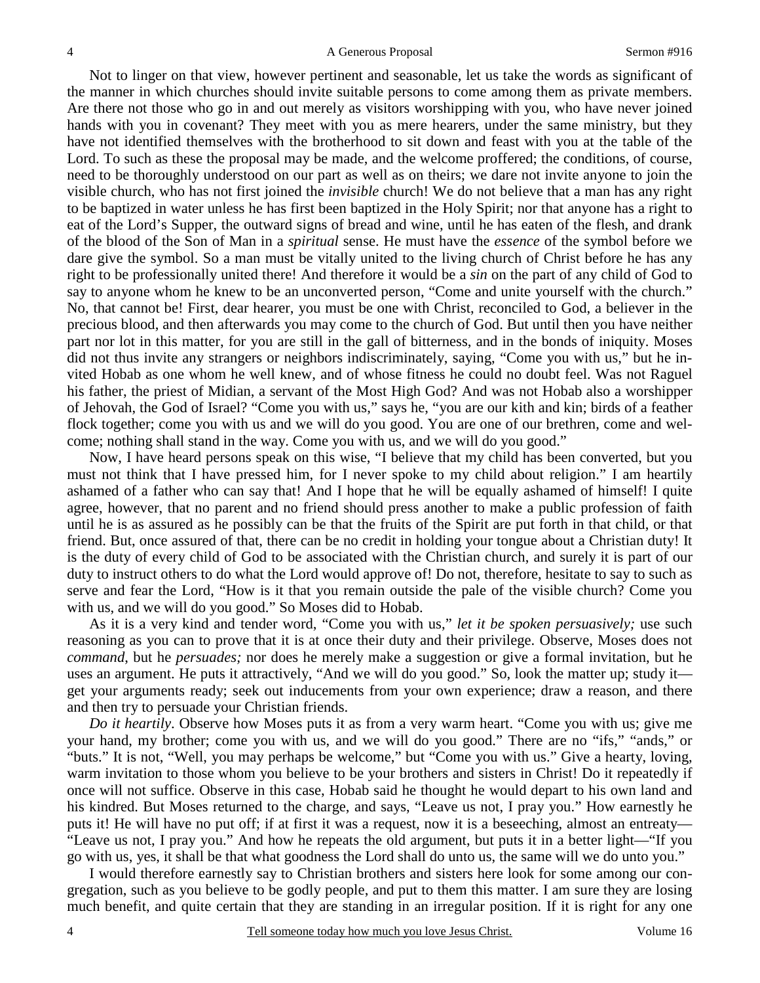Not to linger on that view, however pertinent and seasonable, let us take the words as significant of the manner in which churches should invite suitable persons to come among them as private members. Are there not those who go in and out merely as visitors worshipping with you, who have never joined hands with you in covenant? They meet with you as mere hearers, under the same ministry, but they have not identified themselves with the brotherhood to sit down and feast with you at the table of the Lord. To such as these the proposal may be made, and the welcome proffered; the conditions, of course, need to be thoroughly understood on our part as well as on theirs; we dare not invite anyone to join the visible church, who has not first joined the *invisible* church! We do not believe that a man has any right to be baptized in water unless he has first been baptized in the Holy Spirit; nor that anyone has a right to eat of the Lord's Supper, the outward signs of bread and wine, until he has eaten of the flesh, and drank of the blood of the Son of Man in a *spiritual* sense. He must have the *essence* of the symbol before we dare give the symbol. So a man must be vitally united to the living church of Christ before he has any right to be professionally united there! And therefore it would be a *sin* on the part of any child of God to say to anyone whom he knew to be an unconverted person, "Come and unite yourself with the church." No, that cannot be! First, dear hearer, you must be one with Christ, reconciled to God, a believer in the precious blood, and then afterwards you may come to the church of God. But until then you have neither part nor lot in this matter, for you are still in the gall of bitterness, and in the bonds of iniquity. Moses did not thus invite any strangers or neighbors indiscriminately, saying, "Come you with us," but he invited Hobab as one whom he well knew, and of whose fitness he could no doubt feel. Was not Raguel his father, the priest of Midian, a servant of the Most High God? And was not Hobab also a worshipper of Jehovah, the God of Israel? "Come you with us," says he, "you are our kith and kin; birds of a feather flock together; come you with us and we will do you good. You are one of our brethren, come and welcome; nothing shall stand in the way. Come you with us, and we will do you good."

Now, I have heard persons speak on this wise, "I believe that my child has been converted, but you must not think that I have pressed him, for I never spoke to my child about religion." I am heartily ashamed of a father who can say that! And I hope that he will be equally ashamed of himself! I quite agree, however, that no parent and no friend should press another to make a public profession of faith until he is as assured as he possibly can be that the fruits of the Spirit are put forth in that child, or that friend. But, once assured of that, there can be no credit in holding your tongue about a Christian duty! It is the duty of every child of God to be associated with the Christian church, and surely it is part of our duty to instruct others to do what the Lord would approve of! Do not, therefore, hesitate to say to such as serve and fear the Lord, "How is it that you remain outside the pale of the visible church? Come you with us, and we will do you good." So Moses did to Hobab.

As it is a very kind and tender word, "Come you with us," *let it be spoken persuasively;* use such reasoning as you can to prove that it is at once their duty and their privilege. Observe, Moses does not *command*, but he *persuades;* nor does he merely make a suggestion or give a formal invitation, but he uses an argument. He puts it attractively, "And we will do you good." So, look the matter up; study it get your arguments ready; seek out inducements from your own experience; draw a reason, and there and then try to persuade your Christian friends.

*Do it heartily*. Observe how Moses puts it as from a very warm heart. "Come you with us; give me your hand, my brother; come you with us, and we will do you good." There are no "ifs," "ands," or "buts." It is not, "Well, you may perhaps be welcome," but "Come you with us." Give a hearty, loving, warm invitation to those whom you believe to be your brothers and sisters in Christ! Do it repeatedly if once will not suffice. Observe in this case, Hobab said he thought he would depart to his own land and his kindred. But Moses returned to the charge, and says, "Leave us not, I pray you." How earnestly he puts it! He will have no put off; if at first it was a request, now it is a beseeching, almost an entreaty— "Leave us not, I pray you." And how he repeats the old argument, but puts it in a better light—"If you go with us, yes, it shall be that what goodness the Lord shall do unto us, the same will we do unto you."

I would therefore earnestly say to Christian brothers and sisters here look for some among our congregation, such as you believe to be godly people, and put to them this matter. I am sure they are losing much benefit, and quite certain that they are standing in an irregular position. If it is right for any one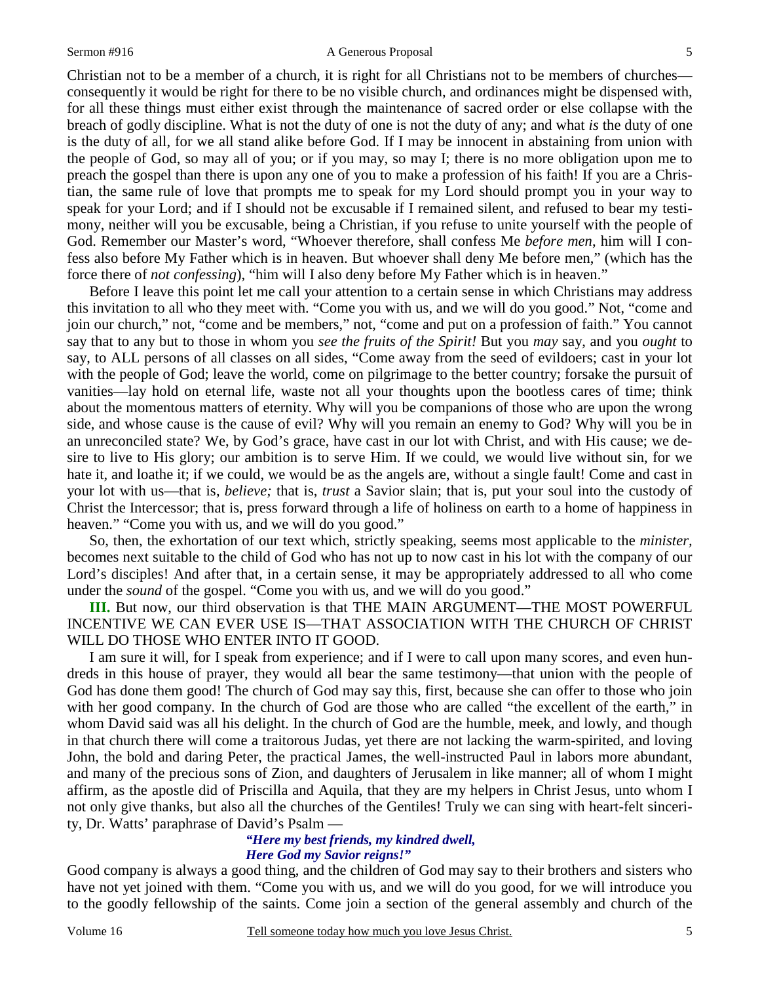#### Sermon #916 A Generous Proposal

Christian not to be a member of a church, it is right for all Christians not to be members of churches consequently it would be right for there to be no visible church, and ordinances might be dispensed with, for all these things must either exist through the maintenance of sacred order or else collapse with the breach of godly discipline. What is not the duty of one is not the duty of any; and what *is* the duty of one is the duty of all, for we all stand alike before God. If I may be innocent in abstaining from union with the people of God, so may all of you; or if you may, so may I; there is no more obligation upon me to preach the gospel than there is upon any one of you to make a profession of his faith! If you are a Christian, the same rule of love that prompts me to speak for my Lord should prompt you in your way to speak for your Lord; and if I should not be excusable if I remained silent, and refused to bear my testimony, neither will you be excusable, being a Christian, if you refuse to unite yourself with the people of God. Remember our Master's word, "Whoever therefore, shall confess Me *before men*, him will I confess also before My Father which is in heaven. But whoever shall deny Me before men," (which has the force there of *not confessing*), "him will I also deny before My Father which is in heaven."

Before I leave this point let me call your attention to a certain sense in which Christians may address this invitation to all who they meet with. "Come you with us, and we will do you good." Not, "come and join our church," not, "come and be members," not, "come and put on a profession of faith." You cannot say that to any but to those in whom you *see the fruits of the Spirit!* But you *may* say, and you *ought* to say, to ALL persons of all classes on all sides, "Come away from the seed of evildoers; cast in your lot with the people of God; leave the world, come on pilgrimage to the better country; forsake the pursuit of vanities—lay hold on eternal life, waste not all your thoughts upon the bootless cares of time; think about the momentous matters of eternity. Why will you be companions of those who are upon the wrong side, and whose cause is the cause of evil? Why will you remain an enemy to God? Why will you be in an unreconciled state? We, by God's grace, have cast in our lot with Christ, and with His cause; we desire to live to His glory; our ambition is to serve Him. If we could, we would live without sin, for we hate it, and loathe it; if we could, we would be as the angels are, without a single fault! Come and cast in your lot with us—that is, *believe;* that is, *trust* a Savior slain; that is, put your soul into the custody of Christ the Intercessor; that is, press forward through a life of holiness on earth to a home of happiness in heaven." "Come you with us, and we will do you good."

So, then, the exhortation of our text which, strictly speaking, seems most applicable to the *minister,*  becomes next suitable to the child of God who has not up to now cast in his lot with the company of our Lord's disciples! And after that, in a certain sense, it may be appropriately addressed to all who come under the *sound* of the gospel. "Come you with us, and we will do you good."

**III.** But now, our third observation is that THE MAIN ARGUMENT—THE MOST POWERFUL INCENTIVE WE CAN EVER USE IS—THAT ASSOCIATION WITH THE CHURCH OF CHRIST WILL DO THOSE WHO ENTER INTO IT GOOD.

I am sure it will, for I speak from experience; and if I were to call upon many scores, and even hundreds in this house of prayer, they would all bear the same testimony—that union with the people of God has done them good! The church of God may say this, first, because she can offer to those who join with her good company. In the church of God are those who are called "the excellent of the earth," in whom David said was all his delight. In the church of God are the humble, meek, and lowly, and though in that church there will come a traitorous Judas, yet there are not lacking the warm-spirited, and loving John, the bold and daring Peter, the practical James, the well-instructed Paul in labors more abundant, and many of the precious sons of Zion, and daughters of Jerusalem in like manner; all of whom I might affirm, as the apostle did of Priscilla and Aquila, that they are my helpers in Christ Jesus, unto whom I not only give thanks, but also all the churches of the Gentiles! Truly we can sing with heart-felt sincerity, Dr. Watts' paraphrase of David's Psalm —

# *"Here my best friends, my kindred dwell, Here God my Savior reigns!"*

Good company is always a good thing, and the children of God may say to their brothers and sisters who have not yet joined with them. "Come you with us, and we will do you good, for we will introduce you to the goodly fellowship of the saints. Come join a section of the general assembly and church of the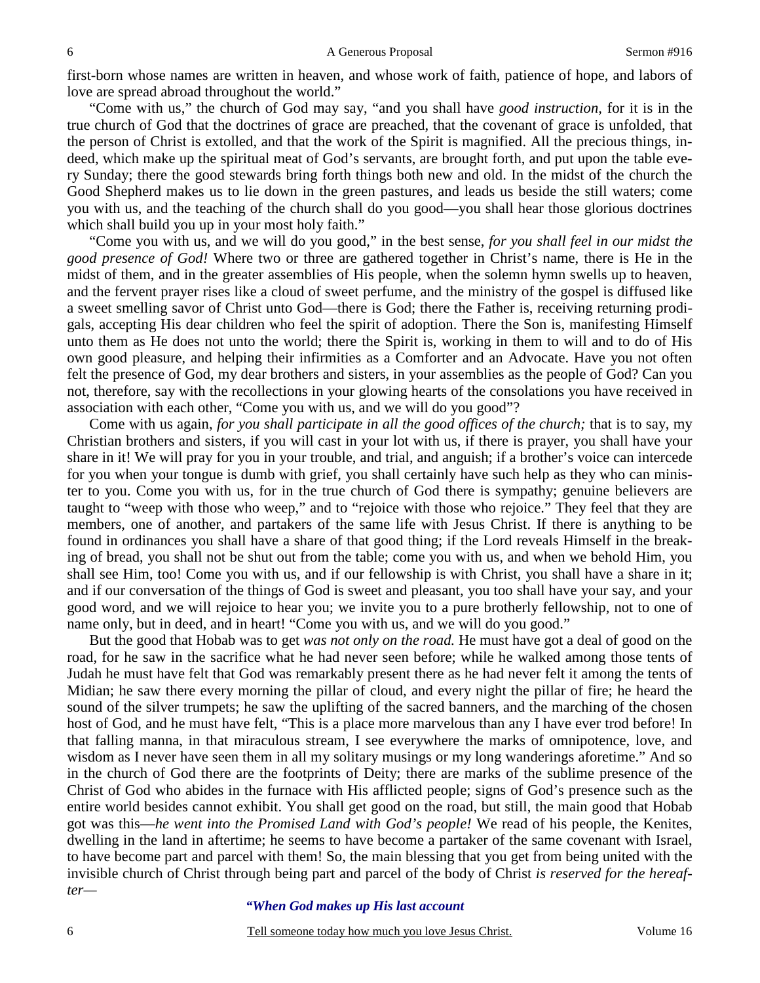first-born whose names are written in heaven, and whose work of faith, patience of hope, and labors of love are spread abroad throughout the world."

"Come with us," the church of God may say, "and you shall have *good instruction,* for it is in the true church of God that the doctrines of grace are preached, that the covenant of grace is unfolded, that the person of Christ is extolled, and that the work of the Spirit is magnified. All the precious things, indeed, which make up the spiritual meat of God's servants, are brought forth, and put upon the table every Sunday; there the good stewards bring forth things both new and old. In the midst of the church the Good Shepherd makes us to lie down in the green pastures, and leads us beside the still waters; come you with us, and the teaching of the church shall do you good—you shall hear those glorious doctrines which shall build you up in your most holy faith."

"Come you with us, and we will do you good," in the best sense, *for you shall feel in our midst the good presence of God!* Where two or three are gathered together in Christ's name, there is He in the midst of them, and in the greater assemblies of His people, when the solemn hymn swells up to heaven, and the fervent prayer rises like a cloud of sweet perfume, and the ministry of the gospel is diffused like a sweet smelling savor of Christ unto God—there is God; there the Father is, receiving returning prodigals, accepting His dear children who feel the spirit of adoption. There the Son is, manifesting Himself unto them as He does not unto the world; there the Spirit is, working in them to will and to do of His own good pleasure, and helping their infirmities as a Comforter and an Advocate. Have you not often felt the presence of God, my dear brothers and sisters, in your assemblies as the people of God? Can you not, therefore, say with the recollections in your glowing hearts of the consolations you have received in association with each other, "Come you with us, and we will do you good"?

Come with us again, *for you shall participate in all the good offices of the church;* that is to say, my Christian brothers and sisters, if you will cast in your lot with us, if there is prayer, you shall have your share in it! We will pray for you in your trouble, and trial, and anguish; if a brother's voice can intercede for you when your tongue is dumb with grief, you shall certainly have such help as they who can minister to you. Come you with us, for in the true church of God there is sympathy; genuine believers are taught to "weep with those who weep," and to "rejoice with those who rejoice." They feel that they are members, one of another, and partakers of the same life with Jesus Christ. If there is anything to be found in ordinances you shall have a share of that good thing; if the Lord reveals Himself in the breaking of bread, you shall not be shut out from the table; come you with us, and when we behold Him, you shall see Him, too! Come you with us, and if our fellowship is with Christ, you shall have a share in it; and if our conversation of the things of God is sweet and pleasant, you too shall have your say, and your good word, and we will rejoice to hear you; we invite you to a pure brotherly fellowship, not to one of name only, but in deed, and in heart! "Come you with us, and we will do you good."

But the good that Hobab was to get *was not only on the road.* He must have got a deal of good on the road, for he saw in the sacrifice what he had never seen before; while he walked among those tents of Judah he must have felt that God was remarkably present there as he had never felt it among the tents of Midian; he saw there every morning the pillar of cloud, and every night the pillar of fire; he heard the sound of the silver trumpets; he saw the uplifting of the sacred banners, and the marching of the chosen host of God, and he must have felt, "This is a place more marvelous than any I have ever trod before! In that falling manna, in that miraculous stream, I see everywhere the marks of omnipotence, love, and wisdom as I never have seen them in all my solitary musings or my long wanderings aforetime." And so in the church of God there are the footprints of Deity; there are marks of the sublime presence of the Christ of God who abides in the furnace with His afflicted people; signs of God's presence such as the entire world besides cannot exhibit. You shall get good on the road, but still, the main good that Hobab got was this—*he went into the Promised Land with God's people!* We read of his people, the Kenites, dwelling in the land in aftertime; he seems to have become a partaker of the same covenant with Israel, to have become part and parcel with them! So, the main blessing that you get from being united with the invisible church of Christ through being part and parcel of the body of Christ *is reserved for the hereafter—* 

#### *"When God makes up His last account*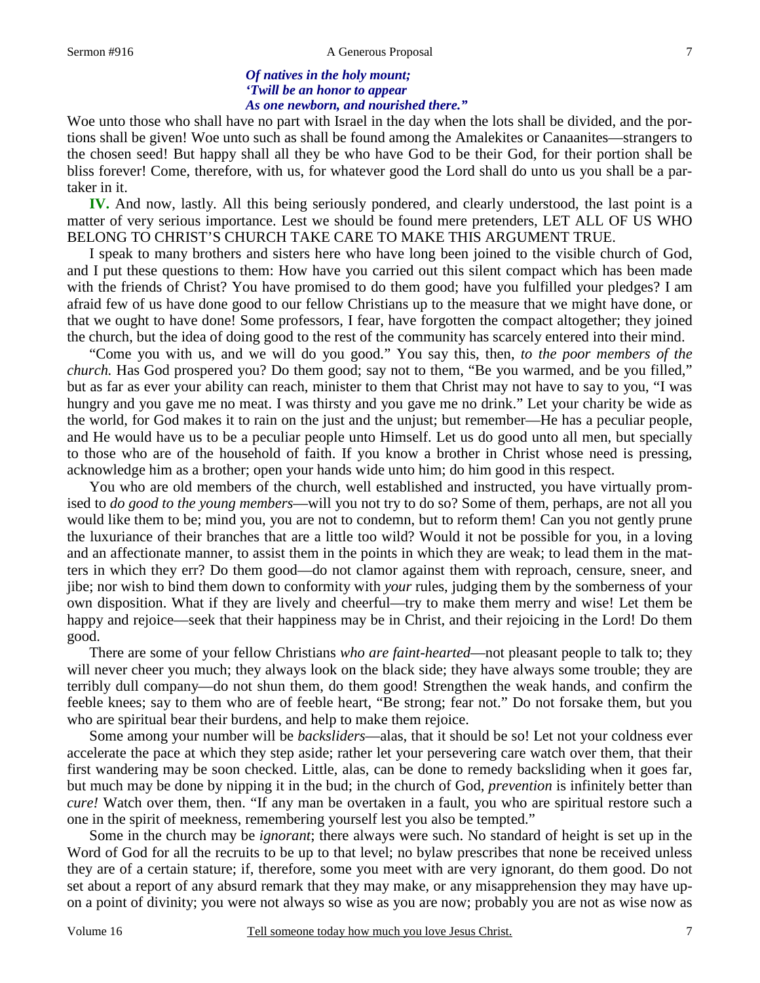#### Sermon #916 A Generous Proposal

# *Of natives in the holy mount; 'Twill be an honor to appear As one newborn, and nourished there."*

Woe unto those who shall have no part with Israel in the day when the lots shall be divided, and the portions shall be given! Woe unto such as shall be found among the Amalekites or Canaanites—strangers to the chosen seed! But happy shall all they be who have God to be their God, for their portion shall be bliss forever! Come, therefore, with us, for whatever good the Lord shall do unto us you shall be a partaker in it.

**IV.** And now, lastly. All this being seriously pondered, and clearly understood, the last point is a matter of very serious importance. Lest we should be found mere pretenders, LET ALL OF US WHO BELONG TO CHRIST'S CHURCH TAKE CARE TO MAKE THIS ARGUMENT TRUE.

I speak to many brothers and sisters here who have long been joined to the visible church of God, and I put these questions to them: How have you carried out this silent compact which has been made with the friends of Christ? You have promised to do them good; have you fulfilled your pledges? I am afraid few of us have done good to our fellow Christians up to the measure that we might have done, or that we ought to have done! Some professors, I fear, have forgotten the compact altogether; they joined the church, but the idea of doing good to the rest of the community has scarcely entered into their mind.

"Come you with us, and we will do you good." You say this, then, *to the poor members of the church.* Has God prospered you? Do them good; say not to them, "Be you warmed, and be you filled," but as far as ever your ability can reach, minister to them that Christ may not have to say to you, "I was hungry and you gave me no meat. I was thirsty and you gave me no drink." Let your charity be wide as the world, for God makes it to rain on the just and the unjust; but remember—He has a peculiar people, and He would have us to be a peculiar people unto Himself. Let us do good unto all men, but specially to those who are of the household of faith. If you know a brother in Christ whose need is pressing, acknowledge him as a brother; open your hands wide unto him; do him good in this respect.

You who are old members of the church, well established and instructed, you have virtually promised to *do good to the young members*—will you not try to do so? Some of them, perhaps, are not all you would like them to be; mind you, you are not to condemn, but to reform them! Can you not gently prune the luxuriance of their branches that are a little too wild? Would it not be possible for you, in a loving and an affectionate manner, to assist them in the points in which they are weak; to lead them in the matters in which they err? Do them good—do not clamor against them with reproach, censure, sneer, and jibe; nor wish to bind them down to conformity with *your* rules, judging them by the somberness of your own disposition. What if they are lively and cheerful—try to make them merry and wise! Let them be happy and rejoice—seek that their happiness may be in Christ, and their rejoicing in the Lord! Do them good.

There are some of your fellow Christians *who are faint-hearted*—not pleasant people to talk to; they will never cheer you much; they always look on the black side; they have always some trouble; they are terribly dull company—do not shun them, do them good! Strengthen the weak hands, and confirm the feeble knees; say to them who are of feeble heart, "Be strong; fear not." Do not forsake them, but you who are spiritual bear their burdens, and help to make them rejoice.

Some among your number will be *backsliders*—alas, that it should be so! Let not your coldness ever accelerate the pace at which they step aside; rather let your persevering care watch over them, that their first wandering may be soon checked. Little, alas, can be done to remedy backsliding when it goes far, but much may be done by nipping it in the bud; in the church of God, *prevention* is infinitely better than *cure!* Watch over them, then. "If any man be overtaken in a fault, you who are spiritual restore such a one in the spirit of meekness, remembering yourself lest you also be tempted."

Some in the church may be *ignorant*; there always were such. No standard of height is set up in the Word of God for all the recruits to be up to that level; no bylaw prescribes that none be received unless they are of a certain stature; if, therefore, some you meet with are very ignorant, do them good. Do not set about a report of any absurd remark that they may make, or any misapprehension they may have upon a point of divinity; you were not always so wise as you are now; probably you are not as wise now as